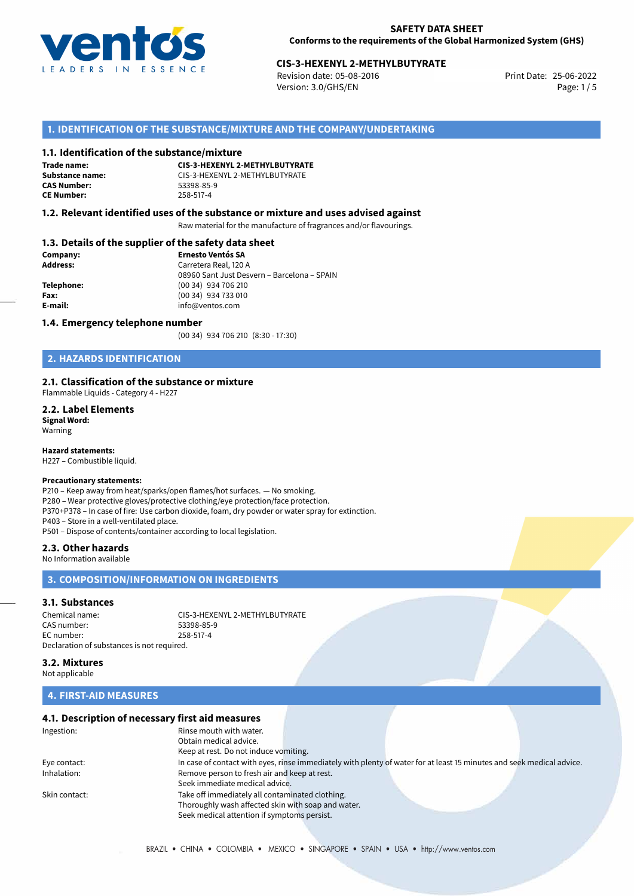

# 25-06-2022 **CIS-3-HEXENYL 2-METHYLBUTYRATE**

Revision date: 05-08-2016 Version: 3.0/GHS/EN Page: 1/5

## **1. IDENTIFICATION OF THE SUBSTANCE/MIXTURE AND THE COMPANY/UNDERTAKING**

#### **1.1. Identification of the substance/mixture**

**Trade name: CAS Number: CE Number:** 258-517-4

**CIS-3-HEXENYL 2-METHYLBUTYRATE Substance name:** CIS-3-HEXENYL 2-METHYLBUTYRATE

#### **1.2. Relevant identified uses of the substance or mixture and uses advised against**

Raw material for the manufacture of fragrances and/or flavourings.

## **1.3. Details of the supplier of the safety data sheet**

| Company:   | <b>Ernesto Ventós SA</b>                    |
|------------|---------------------------------------------|
| Address:   | Carretera Real, 120 A                       |
|            | 08960 Sant Just Desvern - Barcelona - SPAIN |
| Telephone: | (00 34) 934 706 210                         |
| Fax:       | (00 34) 934 733 010                         |
| E-mail:    | info@ventos.com                             |
|            |                                             |

#### **1.4. Emergency telephone number**

(00 34) 934 706 210 (8:30 - 17:30)

## **2. HAZARDS IDENTIFICATION**

#### **2.1. Classification of the substance or mixture**

Flammable Liquids - Category 4 - H227

**2.2. Label Elements Signal Word:** Warning

**Hazard statements:**

H227 – Combustible liquid.

## **Precautionary statements:**

P210 – Keep away from heat/sparks/open flames/hot surfaces. — No smoking. P280 – Wear protective gloves/protective clothing/eye protection/face protection. P370+P378 – In case of fire: Use carbon dioxide, foam, dry powder or water spray for extinction. P403 – Store in a well-ventilated place. P501 – Dispose of contents/container according to local legislation.

#### **2.3. Other hazards**

No Information available

## **3. COMPOSITION/INFORMATION ON INGREDIENTS**

#### **3.1. Substances**

Chemical name: CIS-3-HEXENYL 2-METHYLBUTYRATE CAS number: EC number: 258-517-4 Declaration of substances is not required.

**3.2. Mixtures** Not applicable

## **4. FIRST-AID MEASURES**

# **4.1. Description of necessary first aid measures**

| Rinse mouth with water. |                                                                                                                                                                                                                                                                                 |                                                                                                                       |
|-------------------------|---------------------------------------------------------------------------------------------------------------------------------------------------------------------------------------------------------------------------------------------------------------------------------|-----------------------------------------------------------------------------------------------------------------------|
| Obtain medical advice.  |                                                                                                                                                                                                                                                                                 |                                                                                                                       |
|                         |                                                                                                                                                                                                                                                                                 |                                                                                                                       |
|                         |                                                                                                                                                                                                                                                                                 |                                                                                                                       |
|                         |                                                                                                                                                                                                                                                                                 |                                                                                                                       |
|                         |                                                                                                                                                                                                                                                                                 |                                                                                                                       |
|                         |                                                                                                                                                                                                                                                                                 |                                                                                                                       |
|                         |                                                                                                                                                                                                                                                                                 |                                                                                                                       |
|                         |                                                                                                                                                                                                                                                                                 |                                                                                                                       |
|                         | Keep at rest. Do not induce vomiting.<br>Remove person to fresh air and keep at rest.<br>Seek immediate medical advice.<br>Take off immediately all contaminated clothing.<br>Thoroughly wash affected skin with soap and water.<br>Seek medical attention if symptoms persist. | In case of contact with eyes, rinse immediately with plenty of water for at least 15 minutes and seek medical advice. |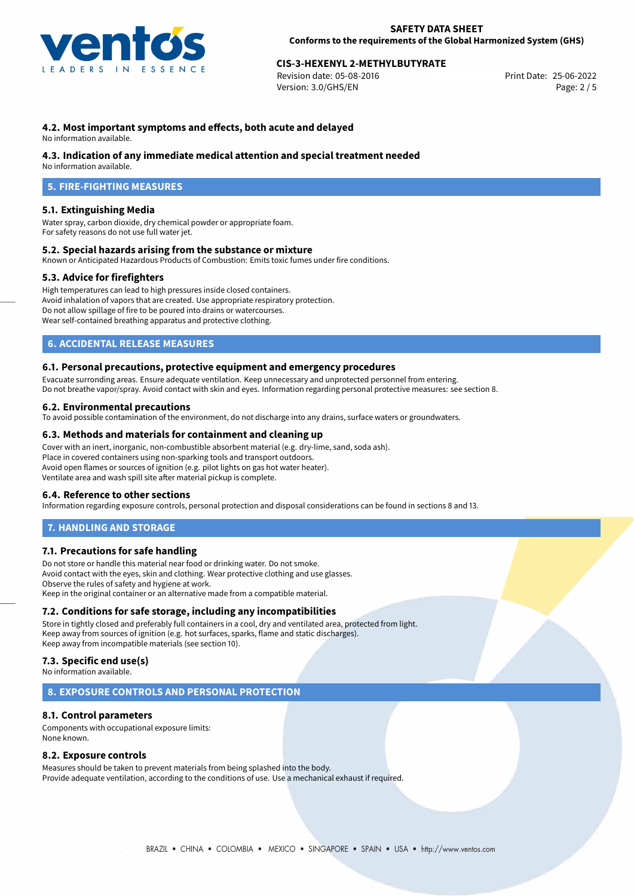

# 25-06-2022 **CIS-3-HEXENYL 2-METHYLBUTYRATE**

Revision date: 05-08-2016 Version: 3.0/GHS/EN Page: 2 / 5

## **4.2. Most important symptoms and effects, both acute and delayed**

No information available.

#### **4.3. Indication of any immediate medical attention and special treatment needed**

No information available.

# **5. FIRE-FIGHTING MEASURES**

#### **5.1. Extinguishing Media**

Water spray, carbon dioxide, dry chemical powder or appropriate foam. For safety reasons do not use full water jet.

#### **5.2. Special hazards arising from the substance or mixture**

Known or Anticipated Hazardous Products of Combustion: Emits toxic fumes under fire conditions.

#### **5.3. Advice for firefighters**

High temperatures can lead to high pressures inside closed containers. Avoid inhalation of vapors that are created. Use appropriate respiratory protection. Do not allow spillage of fire to be poured into drains or watercourses. Wear self-contained breathing apparatus and protective clothing.

## **6. ACCIDENTAL RELEASE MEASURES**

#### **6.1. Personal precautions, protective equipment and emergency procedures**

Evacuate surronding areas. Ensure adequate ventilation. Keep unnecessary and unprotected personnel from entering. Do not breathe vapor/spray. Avoid contact with skin and eyes. Information regarding personal protective measures: see section 8.

#### **6.2. Environmental precautions**

To avoid possible contamination of the environment, do not discharge into any drains, surface waters or groundwaters.

#### **6.3. Methods and materials for containment and cleaning up**

Cover with an inert, inorganic, non-combustible absorbent material (e.g. dry-lime, sand, soda ash). Place in covered containers using non-sparking tools and transport outdoors. Avoid open flames or sources of ignition (e.g. pilot lights on gas hot water heater). Ventilate area and wash spill site after material pickup is complete.

#### **6.4. Reference to other sections**

Information regarding exposure controls, personal protection and disposal considerations can be found in sections 8 and 13.

## **7. HANDLING AND STORAGE**

## **7.1. Precautions for safe handling**

Do not store or handle this material near food or drinking water. Do not smoke. Avoid contact with the eyes, skin and clothing. Wear protective clothing and use glasses. Observe the rules of safety and hygiene at work. Keep in the original container or an alternative made from a compatible material.

## **7.2. Conditions for safe storage, including any incompatibilities**

Store in tightly closed and preferably full containers in a cool, dry and ventilated area, protected from light. Keep away from sources of ignition (e.g. hot surfaces, sparks, flame and static discharges). Keep away from incompatible materials (see section 10).

## **7.3. Specific end use(s)**

No information available.

## **8. EXPOSURE CONTROLS AND PERSONAL PROTECTION**

## **8.1. Control parameters**

Components with occupational exposure limits: None known.

#### **8.2. Exposure controls**

Measures should be taken to prevent materials from being splashed into the body. Provide adequate ventilation, according to the conditions of use. Use a mechanical exhaust if required.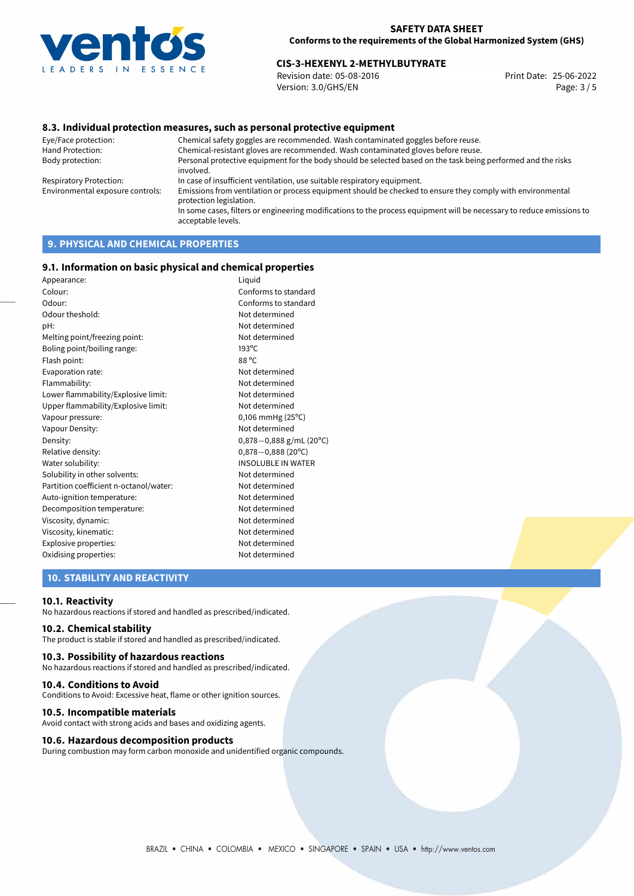

# 25-06-2022 **CIS-3-HEXENYL 2-METHYLBUTYRATE**

Revision date: 05-08-2016 Version: 3.0/GHS/EN Page: 3 / 5

## **8.3. Individual protection measures, such as personal protective equipment**

Eye/Face protection: Chemical safety goggles are recommended. Wash contaminated goggles before reuse. Chemical-resistant gloves are recommended. Wash contaminated gloves before reuse. Body protection: Personal protective equipment for the body should be selected based on the task being performed and the risks involved. Respiratory Protection: In case of insufficient ventilation, use suitable respiratory equipment. Environmental exposure controls: Emissions from ventilation or process equipment should be checked to ensure they comply with environmental protection legislation. In some cases, filters or engineering modifications to the process equipment will be necessary to reduce emissions to acceptable levels.

# **9. PHYSICAL AND CHEMICAL PROPERTIES**

#### **9.1. Information on basic physical and chemical properties**

| Appearance:                            | Liquid                         |
|----------------------------------------|--------------------------------|
| Colour:                                | Conforms to standard           |
| Odour:                                 | Conforms to standard           |
| Odour theshold:                        | Not determined                 |
| pH:                                    | Not determined                 |
| Melting point/freezing point:          | Not determined                 |
| Boling point/boiling range:            | $193^{\circ}$ C                |
| Flash point:                           | 88 °C                          |
| Evaporation rate:                      | Not determined                 |
| Flammability:                          | Not determined                 |
| Lower flammability/Explosive limit:    | Not determined                 |
| Upper flammability/Explosive limit:    | Not determined                 |
| Vapour pressure:                       | $0,106$ mmHg (25 $^{\circ}$ C) |
| Vapour Density:                        | Not determined                 |
| Density:                               | $0,878-0,888$ g/mL (20°C)      |
| Relative density:                      | $0,878 - 0,888$ (20°C)         |
| Water solubility:                      | <b>INSOLUBLE IN WATER</b>      |
| Solubility in other solvents:          | Not determined                 |
| Partition coefficient n-octanol/water: | Not determined                 |
| Auto-ignition temperature:             | Not determined                 |
| Decomposition temperature:             | Not determined                 |
| Viscosity, dynamic:                    | Not determined                 |
| Viscosity, kinematic:                  | Not determined                 |
| Explosive properties:                  | Not determined                 |
| Oxidising properties:                  | Not determined                 |

## **10. STABILITY AND REACTIVITY**

#### **10.1. Reactivity**

No hazardous reactions if stored and handled as prescribed/indicated.

## **10.2. Chemical stability**

The product is stable if stored and handled as prescribed/indicated.

## **10.3. Possibility of hazardous reactions**

No hazardous reactions if stored and handled as prescribed/indicated.

#### **10.4. Conditions to Avoid**

Conditions to Avoid: Excessive heat, flame or other ignition sources.

#### **10.5. Incompatible materials**

Avoid contact with strong acids and bases and oxidizing agents.

#### **10.6. Hazardous decomposition products**

During combustion may form carbon monoxide and unidentified organic compounds.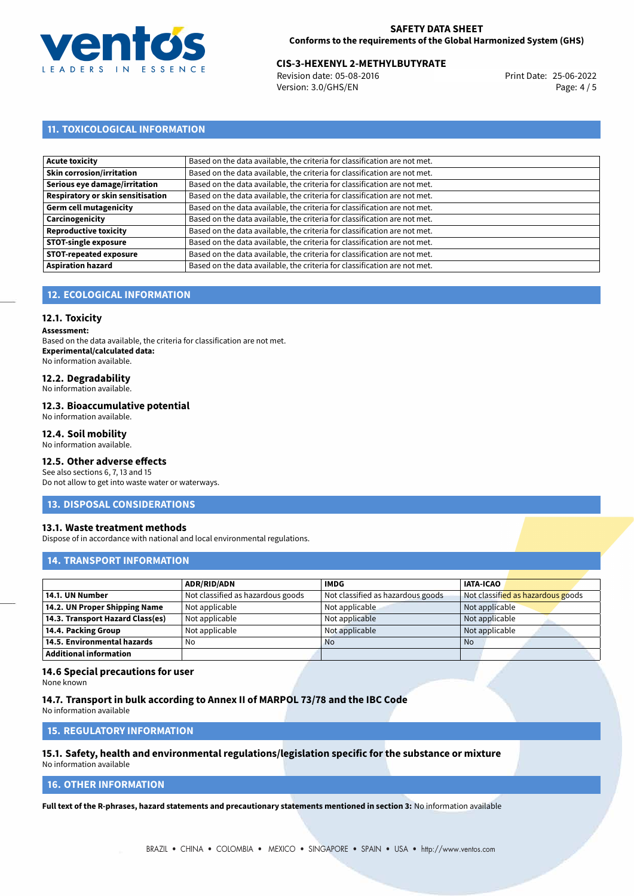

# 25-06-2022 **CIS-3-HEXENYL 2-METHYLBUTYRATE**

Revision date: 05-08-2016 Version: 3.0/GHS/EN Page: 4 / 5

# **11. TOXICOLOGICAL INFORMATION**

| Acute toxicity                    | Based on the data available, the criteria for classification are not met. |
|-----------------------------------|---------------------------------------------------------------------------|
| <b>Skin corrosion/irritation</b>  | Based on the data available, the criteria for classification are not met. |
| Serious eye damage/irritation     | Based on the data available, the criteria for classification are not met. |
| Respiratory or skin sensitisation | Based on the data available, the criteria for classification are not met. |
| Germ cell mutagenicity            | Based on the data available, the criteria for classification are not met. |
| <b>Carcinogenicity</b>            | Based on the data available, the criteria for classification are not met. |
| Reproductive toxicity             | Based on the data available, the criteria for classification are not met. |
| <b>STOT-single exposure</b>       | Based on the data available, the criteria for classification are not met. |
| <b>STOT-repeated exposure</b>     | Based on the data available, the criteria for classification are not met. |
| <b>Aspiration hazard</b>          | Based on the data available, the criteria for classification are not met. |

# **12. ECOLOGICAL INFORMATION**

## **12.1. Toxicity**

**Assessment:**

Based on the data available, the criteria for classification are not met. **Experimental/calculated data:** No information available.

# **12.2. Degradability**

No information available.

#### **12.3. Bioaccumulative potential**

No information available.

## **12.4. Soil mobility**

No information available.

## **12.5. Other adverse effects**

See also sections 6, 7, 13 and 15 Do not allow to get into waste water or waterways.

## **13. DISPOSAL CONSIDERATIONS**

## **13.1. Waste treatment methods**

Dispose of in accordance with national and local environmental regulations.

## **14. TRANSPORT INFORMATION**

|                                  | <b>ADR/RID/ADN</b>                | <b>IMDG</b>                       | <b>IATA-ICAO</b>                  |
|----------------------------------|-----------------------------------|-----------------------------------|-----------------------------------|
| 14.1. UN Number                  | Not classified as hazardous goods | Not classified as hazardous goods | Not classified as hazardous goods |
| 14.2. UN Proper Shipping Name    | Not applicable                    | Not applicable                    | Not applicable                    |
| 14.3. Transport Hazard Class(es) | Not applicable                    | Not applicable                    | Not applicable                    |
| 14.4. Packing Group              | Not applicable                    | Not applicable                    | Not applicable                    |
| 14.5. Environmental hazards      | No                                | <b>No</b>                         | No                                |
| <b>Additional information</b>    |                                   |                                   |                                   |

## **14.6 Special precautions for user**

None known

#### **14.7. Transport in bulk according to Annex II of MARPOL 73/78 and the IBC Code**

No information available

# **15. REGULATORY INFORMATION**

#### **15.1. Safety, health and environmental regulations/legislation specific for the substance or mixture** No information available

# **16. OTHER INFORMATION**

**Full text of the R-phrases, hazard statements and precautionary statements mentioned in section 3:** No information available